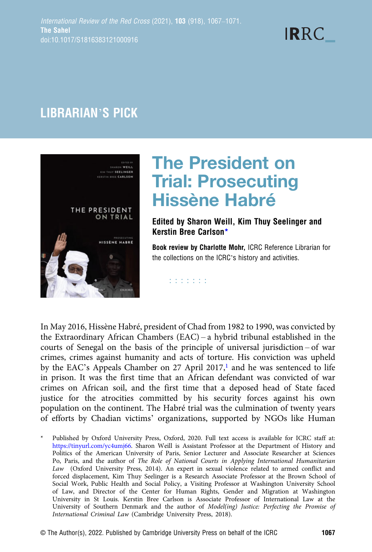# **IRRC**

### LIBRARIAN'S PICK



## The President on Trial: Prosecuting Hissène Habré

#### Edited by Sharon Weill, Kim Thuy Seelinger and Kerstin Bree Carlson\*

Book review by Charlotte Mohr, ICRC Reference Librarian for the collections on the ICRC's history and activities.

**ESSESS** 

In May 2016, Hissène Habré, president of Chad from 1982 to 1990, was convicted by the Extraordinary African Chambers (EAC) – a hybrid tribunal established in the courts of Senegal on the basis of the principle of universal jurisdiction – of war crimes, crimes against humanity and acts of torture. His conviction was upheld by the EAC's Appeals Chamber on 27 April 2017,<sup>1</sup> and he was sentenced to life in prison. It was the first time that an African defendant was convicted of war crimes on African soil, and the first time that a deposed head of State faced justice for the atrocities committed by his security forces against his own population on the continent. The Habré trial was the culmination of twenty years of efforts by Chadian victims' organizations, supported by NGOs like Human

Published by Oxford University Press, Oxford, 2020. Full text access is available for ICRC staff at: [https://tinyurl.com/yc4umj66.](https://tinyurl.com/yc4umj66) Sharon Weill is Assistant Professor at the Department of History and Politics of the American University of Paris, Senior Lecturer and Associate Researcher at Sciences Po, Paris, and the author of The Role of National Courts in Applying International Humanitarian Law (Oxford University Press, 2014). An expert in sexual violence related to armed conflict and forced displacement, Kim Thuy Seelinger is a Research Associate Professor at the Brown School of Social Work, Public Health and Social Policy, a Visiting Professor at Washington University School of Law, and Director of the Center for Human Rights, Gender and Migration at Washington University in St Louis. Kerstin Bree Carlson is Associate Professor of International Law at the University of Southern Denmark and the author of Model(ing) Justice: Perfecting the Promise of International Criminal Law (Cambridge University Press, 2018).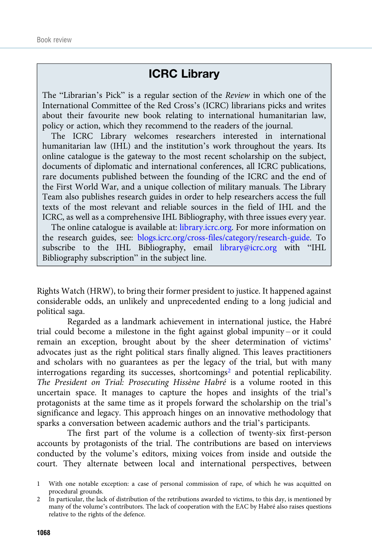#### ICRC Library

<span id="page-1-0"></span>The "Librarian's Pick" is a regular section of the Review in which one of the International Committee of the Red Cross's (ICRC) librarians picks and writes about their favourite new book relating to international humanitarian law, policy or action, which they recommend to the readers of the journal.

The ICRC Library welcomes researchers interested in international humanitarian law (IHL) and the institution's work throughout the years. Its online catalogue is the gateway to the most recent scholarship on the subject, documents of diplomatic and international conferences, all ICRC publications, rare documents published between the founding of the ICRC and the end of the First World War, and a unique collection of military manuals. The Library Team also publishes research guides in order to help researchers access the full texts of the most relevant and reliable sources in the field of IHL and the ICRC, as well as a comprehensive IHL Bibliography, with three issues every year.

The online catalogue is available at: [library.icrc.org](https://library.icrc.org). For more information on the research guides, see: [blogs.icrc.org/cross-files/category/research-guide.](https://blogs.icrc.org/cross-files/category/research-guide) To subscribe to the IHL Bibliography, email [library@icrc.org](mailto:library@icrc.org) with "IHL Bibliography subscription" in the subject line.

Rights Watch (HRW), to bring their former president to justice. It happened against considerable odds, an unlikely and unprecedented ending to a long judicial and political saga.

Regarded as a landmark achievement in international justice, the Habré trial could become a milestone in the fight against global impunity – or it could remain an exception, brought about by the sheer determination of victims' advocates just as the right political stars finally aligned. This leaves practitioners and scholars with no guarantees as per the legacy of the trial, but with many interrogations regarding its successes, shortcomings<sup>2</sup> and potential replicability. The President on Trial: Prosecuting Hissène Habré is a volume rooted in this uncertain space. It manages to capture the hopes and insights of the trial's protagonists at the same time as it propels forward the scholarship on the trial's significance and legacy. This approach hinges on an innovative methodology that sparks a conversation between academic authors and the trial's participants.

The first part of the volume is a collection of twenty-six first-person accounts by protagonists of the trial. The contributions are based on interviews conducted by the volume's editors, mixing voices from inside and outside the court. They alternate between local and international perspectives, between

<sup>1</sup> With one notable exception: a case of personal commission of rape, of which he was acquitted on procedural grounds.

<sup>2</sup> In particular, the lack of distribution of the retributions awarded to victims, to this day, is mentioned by many of the volume's contributors. The lack of cooperation with the EAC by Habré also raises questions relative to the rights of the defence.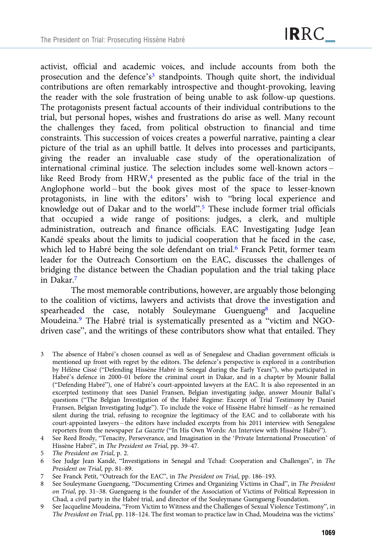activist, official and academic voices, and include accounts from both the prosecution and the defence's<sup>3</sup> standpoints. Though quite short, the individual contributions are often remarkably introspective and thought-provoking, leaving the reader with the sole frustration of being unable to ask follow-up questions. The protagonists present factual accounts of their individual contributions to the trial, but personal hopes, wishes and frustrations do arise as well. Many recount the challenges they faced, from political obstruction to financial and time constraints. This succession of voices creates a powerful narrative, painting a clear picture of the trial as an uphill battle. It delves into processes and participants, giving the reader an invaluable case study of the operationalization of international criminal justice. The selection includes some well-known actors – like Reed Brody from HRW,<sup>4</sup> presented as the public face of the trial in the Anglophone world – but the book gives most of the space to lesser-known protagonists, in line with the editors' wish to "bring local experience and knowledge out of Dakar and to the world". <sup>5</sup> These include former trial officials that occupied a wide range of positions: judges, a clerk, and multiple administration, outreach and finance officials. EAC Investigating Judge Jean Kandé speaks about the limits to judicial cooperation that he faced in the case, which led to Habré being the sole defendant on trial.<sup>6</sup> Franck Petit, former team leader for the Outreach Consortium on the EAC, discusses the challenges of bridging the distance between the Chadian population and the trial taking place in Dakar.7

The most memorable contributions, however, are arguably those belonging to the coalition of victims, lawyers and activists that drove the investigation and spearheaded the case, notably Souleymane Guengueng<sup>8</sup> and Jacqueline Moudeina.9 The Habré trial is systematically presented as a "victim and NGOdriven case", and the writings of these contributors show what that entailed. They

3 The absence of Habré's chosen counsel as well as of Senegalese and Chadian government officials is mentioned up front with regret by the editors. The defence's perspective is explored in a contribution by Hélène Cissé ("Defending Hissène Habré in Senegal during the Early Years"), who participated in Habré's defence in 2000–01 before the criminal court in Dakar, and in a chapter by Mounir Ballal ("Defending Habré"), one of Habré's court-appointed lawyers at the EAC. It is also represented in an excerpted testimony that sees Daniel Fransen, Belgian investigating judge, answer Mounir Ballal's questions ("The Belgian Investigation of the Habré Regime: Excerpt of Trial Testimony by Daniel Fransen, Belgian Investigating Judge"). To include the voice of Hissène Habré himself – as he remained silent during the trial, refusing to recognize the legitimacy of the EAC and to collaborate with his court-appointed lawyers – the editors have included excerpts from his 2011 interview with Senegalese reporters from the newspaper La Gazette ("In His Own Words: An Interview with Hissène Habré").

<sup>4</sup> See Reed Brody, "Tenacity, Perseverance, and Imagination in the 'Private International Prosecution' of Hissène Habré", in The President on Trial, pp. 39–47.

<sup>5</sup> The President on Trial, p. 2.

<sup>6</sup> See Judge Jean Kandé, "Investigations in Senegal and Tchad: Cooperation and Challenges", in The President on Trial, pp. 81–89.

<sup>7</sup> See Franck Petit, "Outreach for the EAC", in The President on Trial, pp. 186–193.

<sup>8</sup> See Souleymane Guengueng, "Documenting Crimes and Organizing Victims in Chad", in The President on Trial, pp. 31–38. Guengueng is the founder of the Association of Victims of Political Repression in Chad, a civil party in the Habré trial, and director of the Souleymane Guengueng Foundation.

<sup>9</sup> See Jacqueline Moudeina, "From Victim to Witness and the Challenges of Sexual Violence Testimony", in The President on Trial, pp. 118–124. The first woman to practice law in Chad, Moudeina was the victims'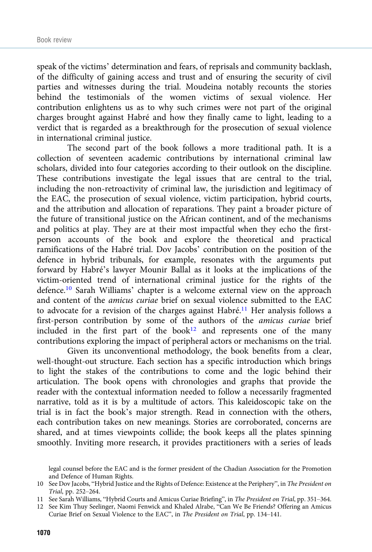speak of the victims' determination and fears, of reprisals and community backlash, of the difficulty of gaining access and trust and of ensuring the security of civil parties and witnesses during the trial. Moudeina notably recounts the stories behind the testimonials of the women victims of sexual violence. Her contribution enlightens us as to why such crimes were not part of the original charges brought against Habré and how they finally came to light, leading to a verdict that is regarded as a breakthrough for the prosecution of sexual violence in international criminal justice.

The second part of the book follows a more traditional path. It is a collection of seventeen academic contributions by international criminal law scholars, divided into four categories according to their outlook on the discipline. These contributions investigate the legal issues that are central to the trial, including the non-retroactivity of criminal law, the jurisdiction and legitimacy of the EAC, the prosecution of sexual violence, victim participation, hybrid courts, and the attribution and allocation of reparations. They paint a broader picture of the future of transitional justice on the African continent, and of the mechanisms and politics at play. They are at their most impactful when they echo the firstperson accounts of the book and explore the theoretical and practical ramifications of the Habré trial. Dov Jacobs' contribution on the position of the defence in hybrid tribunals, for example, resonates with the arguments put forward by Habré's lawyer Mounir Ballal as it looks at the implications of the victim-oriented trend of international criminal justice for the rights of the defence.10 Sarah Williams' chapter is a welcome external view on the approach and content of the amicus curiae brief on sexual violence submitted to the EAC to advocate for a revision of the charges against Habré.11 Her analysis follows a first-person contribution by some of the authors of the amicus curiae brief included in the first part of the book $12$  and represents one of the many contributions exploring the impact of peripheral actors or mechanisms on the trial.

Given its unconventional methodology, the book benefits from a clear, well-thought-out structure. Each section has a specific introduction which brings to light the stakes of the contributions to come and the logic behind their articulation. The book opens with chronologies and graphs that provide the reader with the contextual information needed to follow a necessarily fragmented narrative, told as it is by a multitude of actors. This kaleidoscopic take on the trial is in fact the book's major strength. Read in connection with the others, each contribution takes on new meanings. Stories are corroborated, concerns are shared, and at times viewpoints collide; the book keeps all the plates spinning smoothly. Inviting more research, it provides practitioners with a series of leads

legal counsel before the EAC and is the former president of the Chadian Association for the Promotion and Defence of Human Rights.

<sup>10</sup> See Dov Jacobs, "Hybrid Justice and the Rights of Defence: Existence at the Periphery", in The President on Trial, pp. 252–264.

<sup>11</sup> See Sarah Williams, "Hybrid Courts and Amicus Curiae Briefing", in The President on Trial, pp. 351–364.

<sup>12</sup> See Kim Thuy Seelinger, Naomi Fenwick and Khaled Alrabe, "Can We Be Friends? Offering an Amicus Curiae Brief on Sexual Violence to the EAC", in The President on Trial, pp. 134–141.